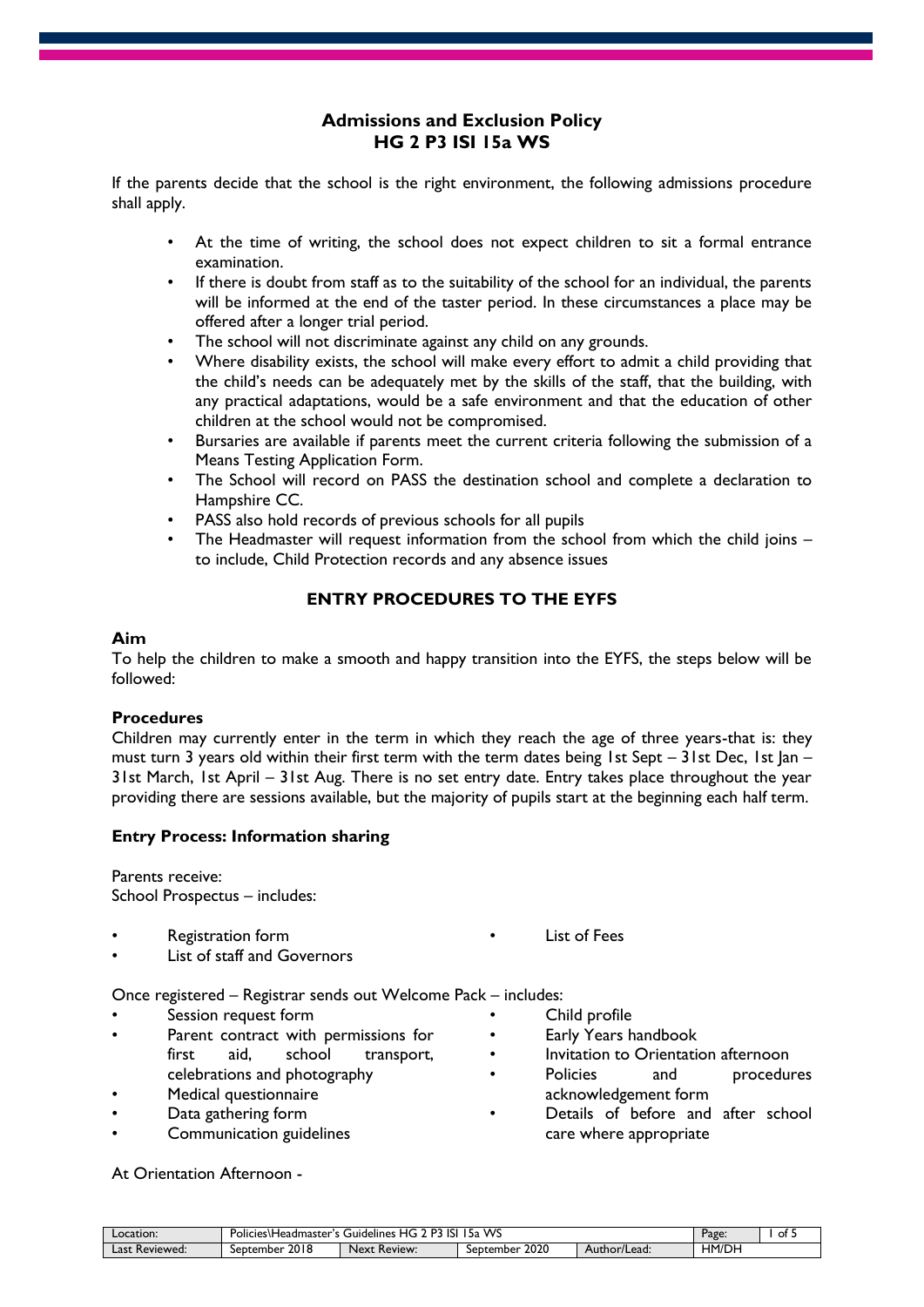# **Admissions and Exclusion Policy HG 2 P3 ISI 15a WS**

If the parents decide that the school is the right environment, the following admissions procedure shall apply.

- At the time of writing, the school does not expect children to sit a formal entrance examination.
- If there is doubt from staff as to the suitability of the school for an individual, the parents will be informed at the end of the taster period. In these circumstances a place may be offered after a longer trial period.
- The school will not discriminate against any child on any grounds.
- Where disability exists, the school will make every effort to admit a child providing that the child's needs can be adequately met by the skills of the staff, that the building, with any practical adaptations, would be a safe environment and that the education of other children at the school would not be compromised.
- Bursaries are available if parents meet the current criteria following the submission of a Means Testing Application Form.
- The School will record on PASS the destination school and complete a declaration to Hampshire CC.
- PASS also hold records of previous schools for all pupils
- The Headmaster will request information from the school from which the child joins to include, Child Protection records and any absence issues

# **ENTRY PROCEDURES TO THE EYFS**

#### **Aim**

To help the children to make a smooth and happy transition into the EYFS, the steps below will be followed:

## **Procedures**

Children may currently enter in the term in which they reach the age of three years-that is: they must turn 3 years old within their first term with the term dates being 1st Sept – 31st Dec, 1st  $|an -$ 31st March, 1st April – 31st Aug. There is no set entry date. Entry takes place throughout the year providing there are sessions available, but the majority of pupils start at the beginning each half term.

## **Entry Process: Information sharing**

Parents receive: School Prospectus – includes:

• Registration form

List of Fees

List of staff and Governors

Once registered – Registrar sends out Welcome Pack – includes:

- Session request form
- Parent contract with permissions for first aid, school transport, celebrations and photography
- Medical questionnaire
- Data gathering form
- Communication guidelines
- - Child profile
	- Early Years handbook
	- Invitation to Orientation afternoon
	- Policies and procedures acknowledgement form
	- Details of before and after school care where appropriate

#### At Orientation Afternoon -

| Location:         | . WC<br>D7<br>ICI.<br>ΗG<br>Policies\Headmaster's G<br>Guidelines<br>ا د،<br>∍⊿<br>. |                               |                   |              | Page: | ot 5 |
|-------------------|--------------------------------------------------------------------------------------|-------------------------------|-------------------|--------------|-------|------|
| Reviewed:<br>Last | 2018<br>September                                                                    | <b>Next</b><br><b>Review:</b> | 2020<br>September | Author/Lead: | HM/DH |      |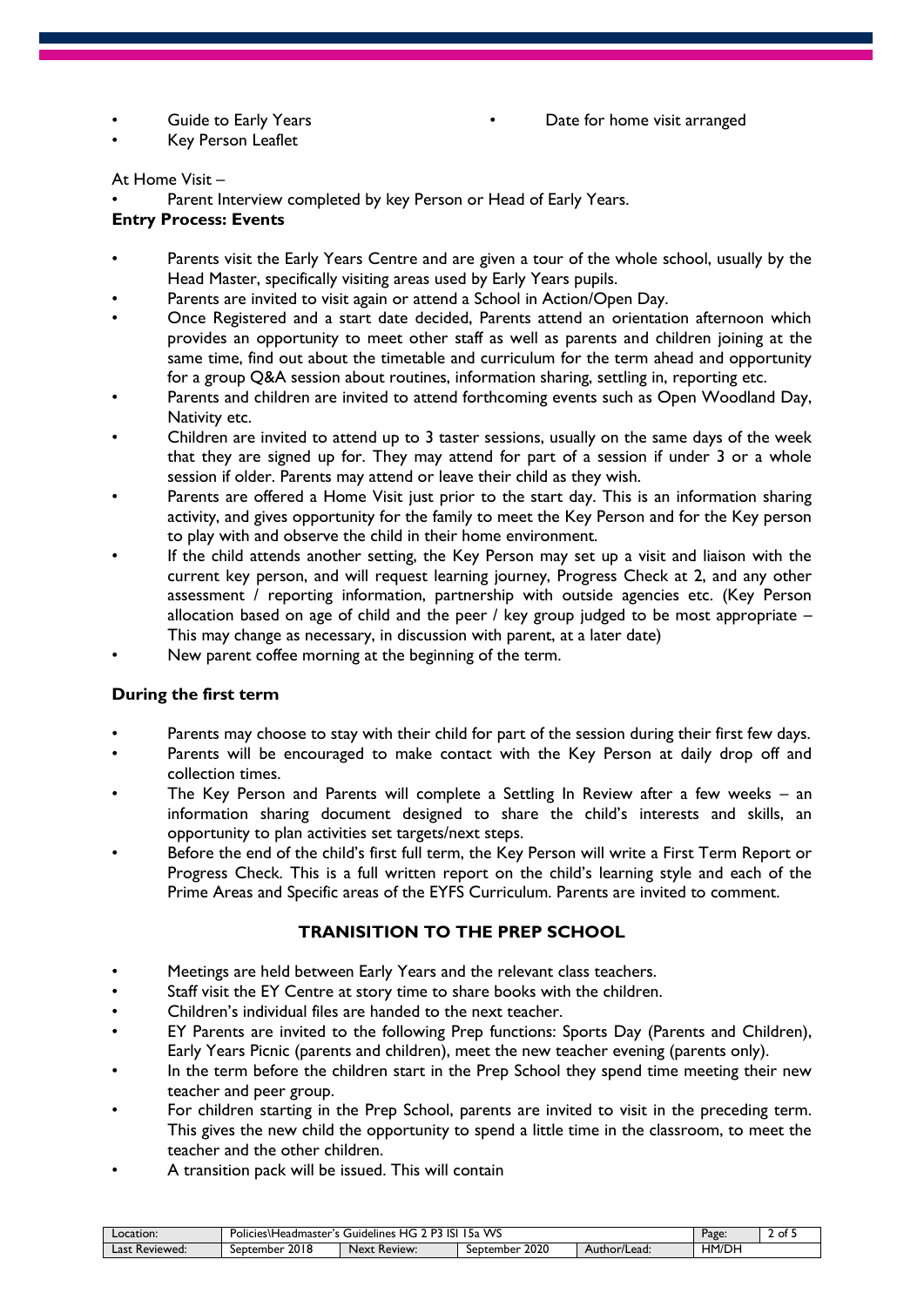Guide to Early Years

• Key Person Leaflet

#### At Home Visit –

Parent Interview completed by key Person or Head of Early Years.

#### **Entry Process: Events**

- Parents visit the Early Years Centre and are given a tour of the whole school, usually by the Head Master, specifically visiting areas used by Early Years pupils.
- Parents are invited to visit again or attend a School in Action/Open Day.
- Once Registered and a start date decided, Parents attend an orientation afternoon which provides an opportunity to meet other staff as well as parents and children joining at the same time, find out about the timetable and curriculum for the term ahead and opportunity for a group Q&A session about routines, information sharing, settling in, reporting etc.
- Parents and children are invited to attend forthcoming events such as Open Woodland Day, Nativity etc.
- Children are invited to attend up to 3 taster sessions, usually on the same days of the week that they are signed up for. They may attend for part of a session if under 3 or a whole session if older. Parents may attend or leave their child as they wish.
- Parents are offered a Home Visit just prior to the start day. This is an information sharing activity, and gives opportunity for the family to meet the Key Person and for the Key person to play with and observe the child in their home environment.
- If the child attends another setting, the Key Person may set up a visit and liaison with the current key person, and will request learning journey, Progress Check at 2, and any other assessment / reporting information, partnership with outside agencies etc. (Key Person allocation based on age of child and the peer / key group judged to be most appropriate  $-$ This may change as necessary, in discussion with parent, at a later date)
- New parent coffee morning at the beginning of the term.

## **During the first term**

- Parents may choose to stay with their child for part of the session during their first few days.
- Parents will be encouraged to make contact with the Key Person at daily drop off and collection times.
- The Key Person and Parents will complete a Settling In Review after a few weeks an information sharing document designed to share the child's interests and skills, an opportunity to plan activities set targets/next steps.
- Before the end of the child's first full term, the Key Person will write a First Term Report or Progress Check. This is a full written report on the child's learning style and each of the Prime Areas and Specific areas of the EYFS Curriculum. Parents are invited to comment.

## **TRANISITION TO THE PREP SCHOOL**

- Meetings are held between Early Years and the relevant class teachers.
- Staff visit the EY Centre at story time to share books with the children.
- Children's individual files are handed to the next teacher.
- EY Parents are invited to the following Prep functions: Sports Day (Parents and Children), Early Years Picnic (parents and children), meet the new teacher evening (parents only).
- In the term before the children start in the Prep School they spend time meeting their new teacher and peer group.
- For children starting in the Prep School, parents are invited to visit in the preceding term. This gives the new child the opportunity to spend a little time in the classroom, to meet the teacher and the other children.
- A transition pack will be issued. This will contain

| Location:              | WS<br>כם<br>isi<br>HG<br>. Policies\Headmaster's 1<br>גכ'<br>Guidelines |                 |                   |                      | Page: | . .<br>-<br>ot 5 |
|------------------------|-------------------------------------------------------------------------|-----------------|-------------------|----------------------|-------|------------------|
| -<br>Last<br>Reviewed: | 2018<br>September                                                       | Review:<br>Next | 2020<br>September | Author/Lead:<br>nuu. | HM/DH |                  |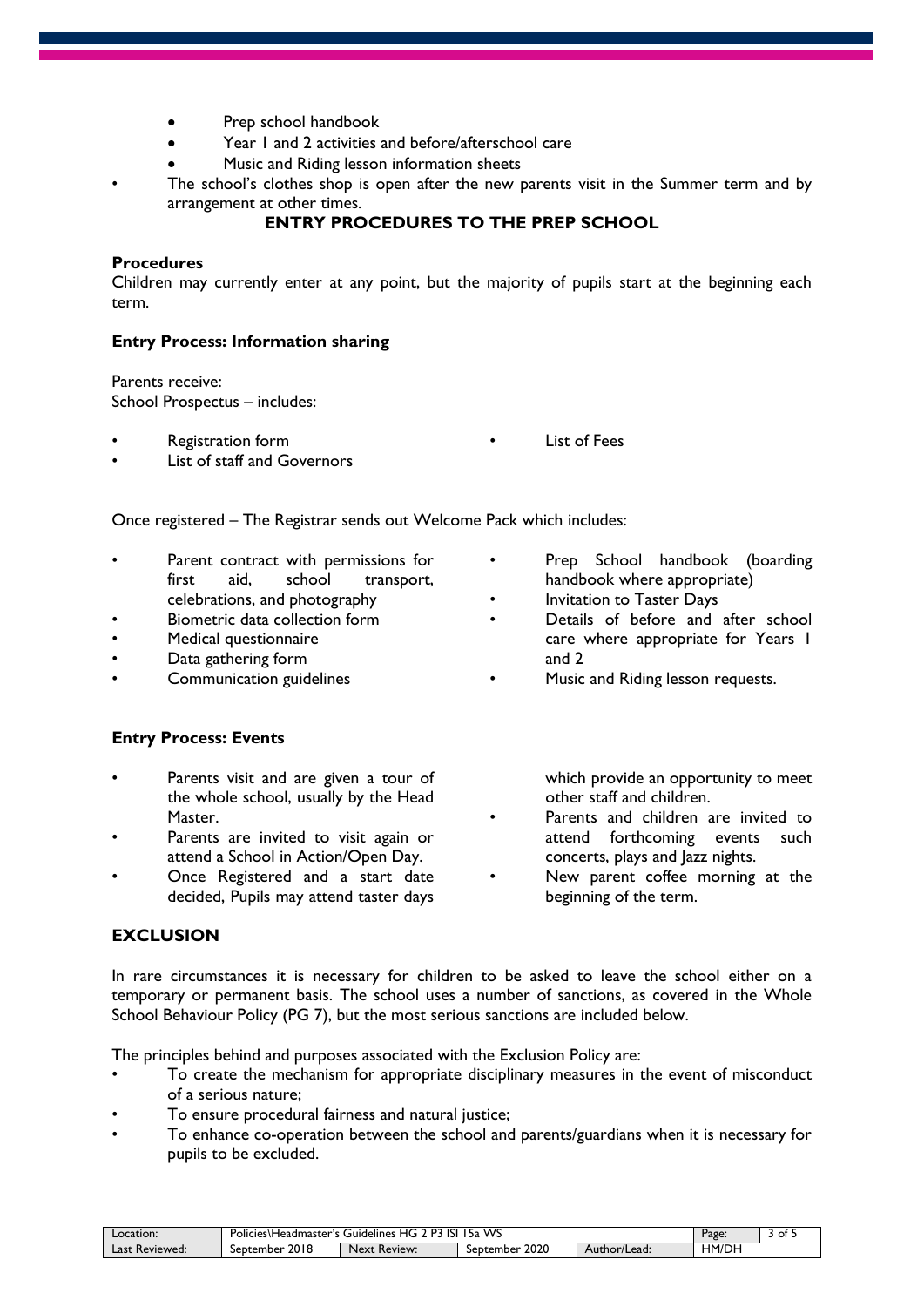- Prep school handbook
- Year 1 and 2 activities and before/afterschool care
- Music and Riding lesson information sheets
- The school's clothes shop is open after the new parents visit in the Summer term and by arrangement at other times.

# **ENTRY PROCEDURES TO THE PREP SCHOOL**

#### **Procedures**

Children may currently enter at any point, but the majority of pupils start at the beginning each term.

#### **Entry Process: Information sharing**

Parents receive: School Prospectus – includes:

- Registration form
- List of staff and Governors

**List of Fees** 

Once registered – The Registrar sends out Welcome Pack which includes:

- Parent contract with permissions for first aid, school transport, celebrations, and photography
- Biometric data collection form
- Medical questionnaire
- Data gathering form
- Communication guidelines

## **Entry Process: Events**

- Parents visit and are given a tour of the whole school, usually by the Head Master.
- Parents are invited to visit again or attend a School in Action/Open Day.
- Once Registered and a start date decided, Pupils may attend taster days

## **EXCLUSION**

handbook where appropriate) • Invitation to Taster Days

Prep School handbook (boarding

- Details of before and after school care where appropriate for Years 1 and 2
- Music and Riding lesson requests.

which provide an opportunity to meet other staff and children.

- Parents and children are invited to attend forthcoming events such concerts, plays and Jazz nights.
- New parent coffee morning at the beginning of the term.

In rare circumstances it is necessary for children to be asked to leave the school either on a temporary or permanent basis. The school uses a number of sanctions, as covered in the Whole School Behaviour Policy (PG 7), but the most serious sanctions are included below.

The principles behind and purposes associated with the Exclusion Policy are:

- To create the mechanism for appropriate disciplinary measures in the event of misconduct of a serious nature;
- To ensure procedural fairness and natural justice;
- To enhance co-operation between the school and parents/guardians when it is necessary for pupils to be excluded.

| Location:         | WS<br>D?<br>isi<br>HG<br>.<br>Policies\Headmaster's \<br>Guidelines<br>גכ ! |                          |                   |              | Page: | ot : |
|-------------------|-----------------------------------------------------------------------------|--------------------------|-------------------|--------------|-------|------|
| Last<br>Reviewed: | 2018<br>September                                                           | <b>Next</b><br>: Review: | 2020<br>September | Author/Lead: | HM/DH |      |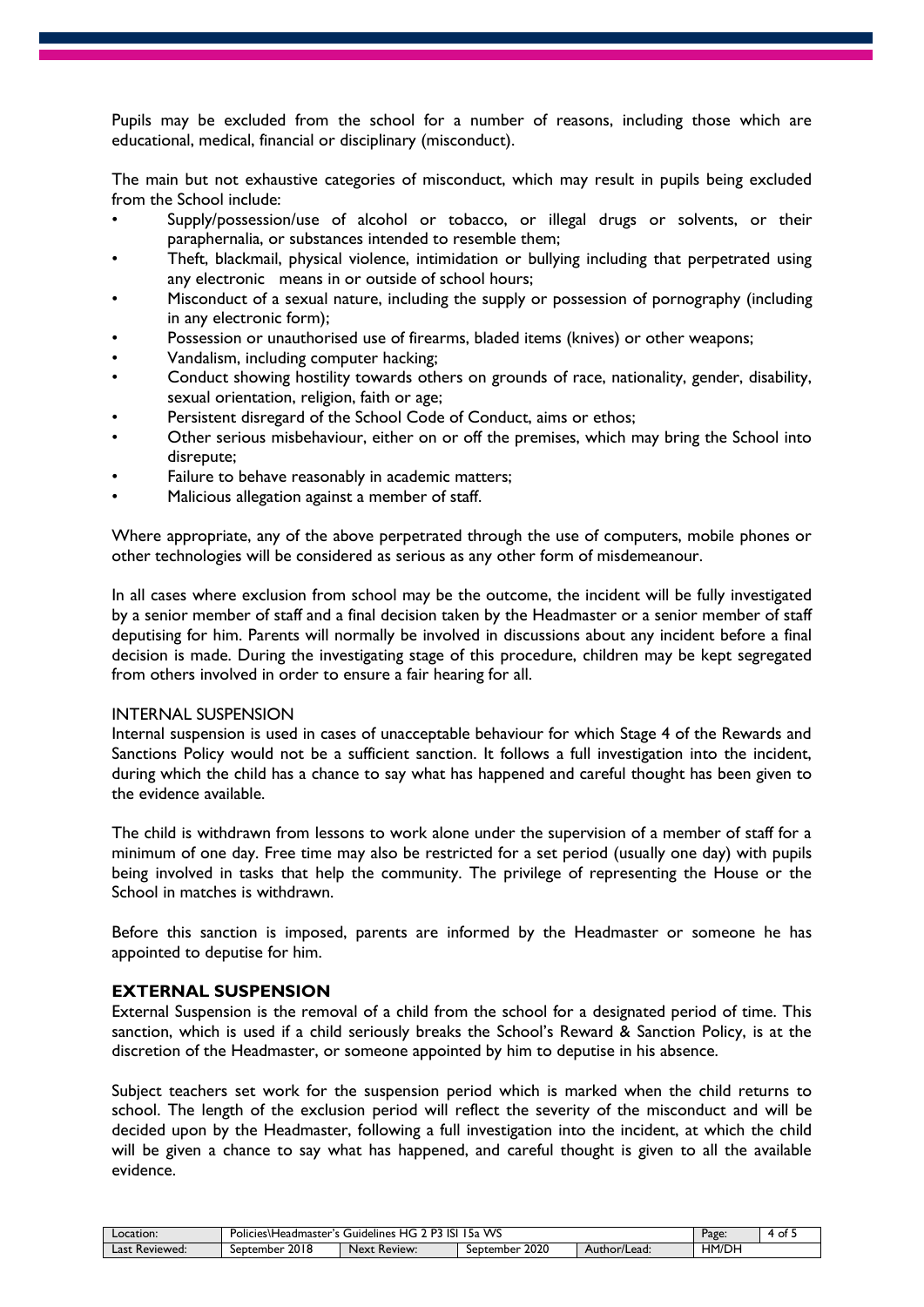Pupils may be excluded from the school for a number of reasons, including those which are educational, medical, financial or disciplinary (misconduct).

The main but not exhaustive categories of misconduct, which may result in pupils being excluded from the School include:

- Supply/possession/use of alcohol or tobacco, or illegal drugs or solvents, or their paraphernalia, or substances intended to resemble them;
- Theft, blackmail, physical violence, intimidation or bullying including that perpetrated using any electronic means in or outside of school hours;
- Misconduct of a sexual nature, including the supply or possession of pornography (including in any electronic form);
- Possession or unauthorised use of firearms, bladed items (knives) or other weapons;
- Vandalism, including computer hacking;
- Conduct showing hostility towards others on grounds of race, nationality, gender, disability, sexual orientation, religion, faith or age;
- Persistent disregard of the School Code of Conduct, aims or ethos;
- Other serious misbehaviour, either on or off the premises, which may bring the School into disrepute;
- Failure to behave reasonably in academic matters;
- Malicious allegation against a member of staff.

Where appropriate, any of the above perpetrated through the use of computers, mobile phones or other technologies will be considered as serious as any other form of misdemeanour.

In all cases where exclusion from school may be the outcome, the incident will be fully investigated by a senior member of staff and a final decision taken by the Headmaster or a senior member of staff deputising for him. Parents will normally be involved in discussions about any incident before a final decision is made. During the investigating stage of this procedure, children may be kept segregated from others involved in order to ensure a fair hearing for all.

#### INTERNAL SUSPENSION

Internal suspension is used in cases of unacceptable behaviour for which Stage 4 of the Rewards and Sanctions Policy would not be a sufficient sanction. It follows a full investigation into the incident, during which the child has a chance to say what has happened and careful thought has been given to the evidence available.

The child is withdrawn from lessons to work alone under the supervision of a member of staff for a minimum of one day. Free time may also be restricted for a set period (usually one day) with pupils being involved in tasks that help the community. The privilege of representing the House or the School in matches is withdrawn.

Before this sanction is imposed, parents are informed by the Headmaster or someone he has appointed to deputise for him.

## **EXTERNAL SUSPENSION**

External Suspension is the removal of a child from the school for a designated period of time. This sanction, which is used if a child seriously breaks the School's Reward & Sanction Policy, is at the discretion of the Headmaster, or someone appointed by him to deputise in his absence.

Subject teachers set work for the suspension period which is marked when the child returns to school. The length of the exclusion period will reflect the severity of the misconduct and will be decided upon by the Headmaster, following a full investigation into the incident, at which the child will be given a chance to say what has happened, and careful thought is given to all the available evidence.

| Location:         | WS<br>$\overline{\phantom{a}}$<br>-<br>.<br>P<br>HG.<br>ы<br>Policies\Headmaster's \<br>Guidelines<br>- 5a |                               |                   |              | Page:          | ot 5 |
|-------------------|------------------------------------------------------------------------------------------------------------|-------------------------------|-------------------|--------------|----------------|------|
| Last<br>Reviewed: | 2018<br>September                                                                                          | <b>Next</b><br><b>Review:</b> | 2020<br>September | Author/Lead: | HM/DI<br>. יוט |      |